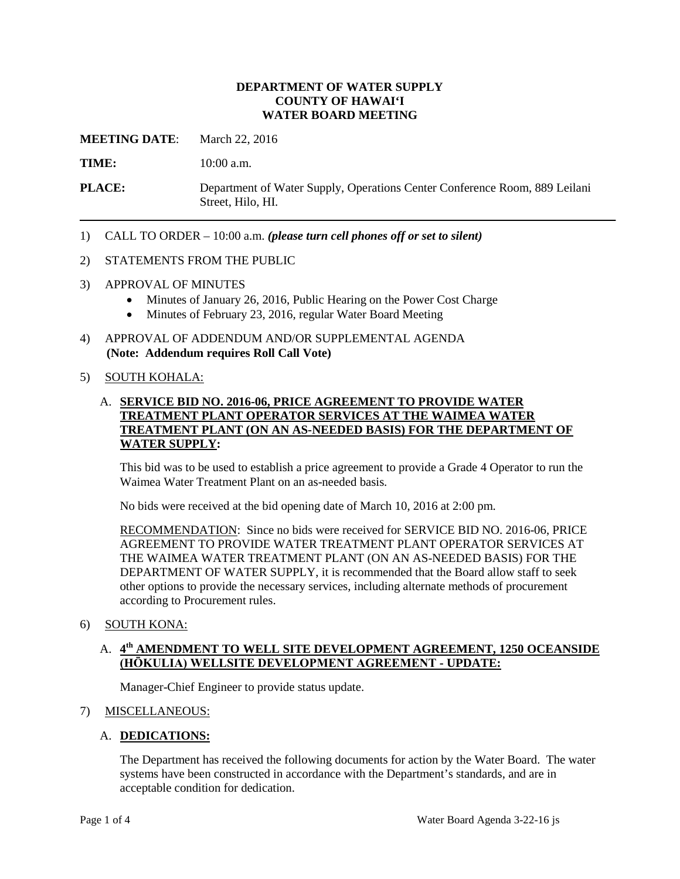### **DEPARTMENT OF WATER SUPPLY COUNTY OF HAWAI'I WATER BOARD MEETING**

**MEETING DATE:** March 22, 2016

TIME: 10:00 a.m.

**PLACE:** Department of Water Supply, Operations Center Conference Room, 889 Leilani Street, Hilo, HI.

1) CALL TO ORDER – 10:00 a.m. *(please turn cell phones off or set to silent)* 

#### 2) STATEMENTS FROM THE PUBLIC

- 3) APPROVAL OF MINUTES
	- Minutes of January 26, 2016, Public Hearing on the Power Cost Charge
	- Minutes of February 23, 2016, regular Water Board Meeting
- 4) APPROVAL OF ADDENDUM AND/OR SUPPLEMENTAL AGENDA **(Note: Addendum requires Roll Call Vote)**

#### 5) SOUTH KOHALA:

## A. **SERVICE BID NO. 2016-06, PRICE AGREEMENT TO PROVIDE WATER TREATMENT PLANT OPERATOR SERVICES AT THE WAIMEA WATER TREATMENT PLANT (ON AN AS-NEEDED BASIS) FOR THE DEPARTMENT OF WATER SUPPLY:**

 This bid was to be used to establish a price agreement to provide a Grade 4 Operator to run the Waimea Water Treatment Plant on an as-needed basis.

No bids were received at the bid opening date of March 10, 2016 at 2:00 pm.

 DEPARTMENT OF WATER SUPPLY, it is recommended that the Board allow staff to seek RECOMMENDATION: Since no bids were received for SERVICE BID NO. 2016-06, PRICE AGREEMENT TO PROVIDE WATER TREATMENT PLANT OPERATOR SERVICES AT THE WAIMEA WATER TREATMENT PLANT (ON AN AS-NEEDED BASIS) FOR THE other options to provide the necessary services, including alternate methods of procurement according to Procurement rules.

#### 6) SOUTH KONA:

## A. **4th AMENDMENT TO WELL SITE DEVELOPMENT AGREEMENT, 1250 OCEANSIDE (HŌKULIA) WELLSITE DEVELOPMENT AGREEMENT - UPDATE:**

Manager-Chief Engineer to provide status update.

### 7) MISCELLANEOUS:

### A. **DEDICATIONS:**

 The Department has received the following documents for action by the Water Board. The water systems have been constructed in accordance with the Department's standards, and are in acceptable condition for dedication.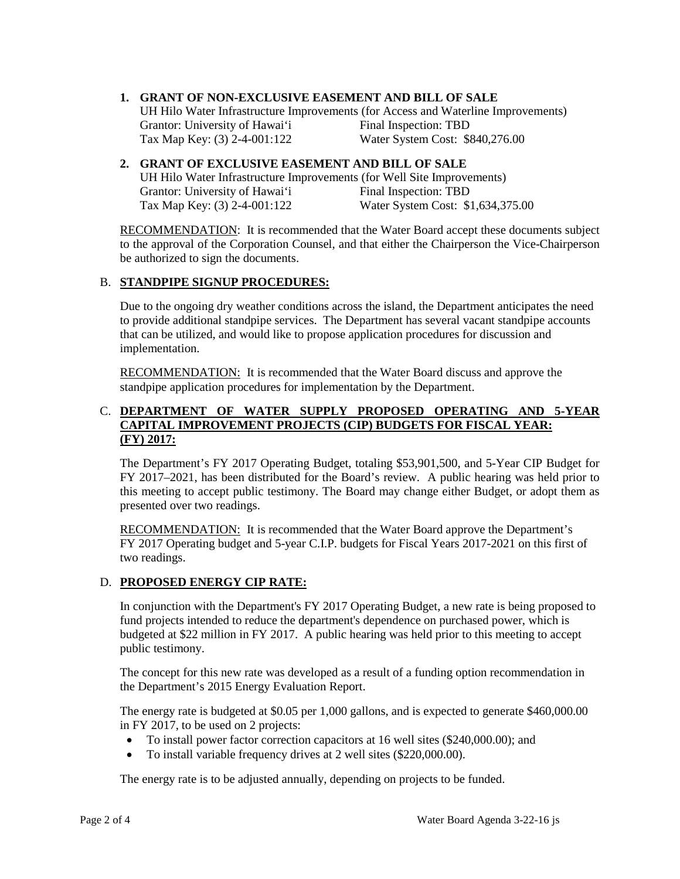## **1. GRANT OF NON-EXCLUSIVE EASEMENT AND BILL OF SALE**

Grantor: University of Hawai'i Final Inspection: TBD UH Hilo Water Infrastructure Improvements (for Access and Waterline Improvements) Tax Map Key: (3) 2-4-001:122 Water System Cost: \$840,276.00

#### Grantor: University of Hawai'i Final Inspection: TBD **2. GRANT OF EXCLUSIVE EASEMENT AND BILL OF SALE**  UH Hilo Water Infrastructure Improvements (for Well Site Improvements) Tax Map Key: (3) 2-4-001:122 Water System Cost: \$1,634,375.00

 to the approval of the Corporation Counsel, and that either the Chairperson the Vice-Chairperson RECOMMENDATION: It is recommended that the Water Board accept these documents subject be authorized to sign the documents.

## B. **STANDPIPE SIGNUP PROCEDURES:**

 to provide additional standpipe services. The Department has several vacant standpipe accounts Due to the ongoing dry weather conditions across the island, the Department anticipates the need that can be utilized, and would like to propose application procedures for discussion and implementation.

**RECOMMENDATION:** It is recommended that the Water Board discuss and approve the standpipe application procedures for implementation by the Department.

## C. **DEPARTMENT OF WATER SUPPLY PROPOSED OPERATING AND 5-YEAR CAPITAL IMPROVEMENT PROJECTS (CIP) BUDGETS FOR FISCAL YEAR: (FY) 2017:**

 this meeting to accept public testimony. The Board may change either Budget, or adopt them as The Department's FY 2017 Operating Budget, totaling \$53,901,500, and 5-Year CIP Budget for FY 2017–2021, has been distributed for the Board's review. A public hearing was held prior to presented over two readings.

RECOMMENDATION: It is recommended that the Water Board approve the Department's FY 2017 Operating budget and 5-year C.I.P. budgets for Fiscal Years 2017-2021 on this first of two readings.

# D. **PROPOSED ENERGY CIP RATE:**

In conjunction with the Department's FY 2017 Operating Budget, a new rate is being proposed to fund projects intended to reduce the department's dependence on purchased power, which is budgeted at \$22 million in FY 2017. A public hearing was held prior to this meeting to accept public testimony.

The concept for this new rate was developed as a result of a funding option recommendation in the Department's 2015 Energy Evaluation Report.

The energy rate is budgeted at \$0.05 per 1,000 gallons, and is expected to generate \$460,000.00 in FY 2017, to be used on 2 projects:

- • To install power factor correction capacitors at 16 well sites (\$240,000.00); and
- To install variable frequency drives at 2 well sites (\$220,000.00).

The energy rate is to be adjusted annually, depending on projects to be funded.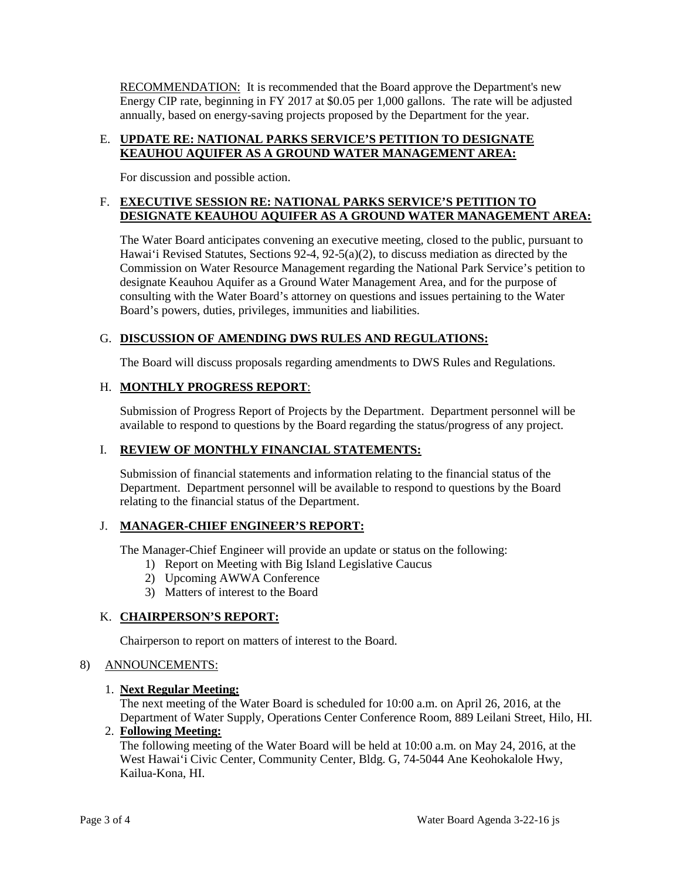**RECOMMENDATION:** It is recommended that the Board approve the Department's new Energy CIP rate, beginning in FY 2017 at \$0.05 per 1,000 gallons. The rate will be adjusted annually, based on energy-saving projects proposed by the Department for the year.

### E. **UPDATE RE: NATIONAL PARKS SERVICE'S PETITION TO DESIGNATE KEAUHOU AQUIFER AS A GROUND WATER MANAGEMENT AREA:**

For discussion and possible action.

# F. **EXECUTIVE SESSION RE: NATIONAL PARKS SERVICE'S PETITION TO DESIGNATE KEAUHOU AQUIFER AS A GROUND WATER MANAGEMENT AREA:**

 Hawai'i Revised Statutes, Sections 92-4, 92-5(a)(2), to discuss mediation as directed by the Commission on Water Resource Management regarding the National Park Service's petition to designate Keauhou Aquifer as a Ground Water Management Area, and for the purpose of consulting with the Water Board's attorney on questions and issues pertaining to the Water The Water Board anticipates convening an executive meeting, closed to the public, pursuant to Board's powers, duties, privileges, immunities and liabilities.

# G. **DISCUSSION OF AMENDING DWS RULES AND REGULATIONS:**

The Board will discuss proposals regarding amendments to DWS Rules and Regulations.

# H. **MONTHLY PROGRESS REPORT**:

Submission of Progress Report of Projects by the Department. Department personnel will be available to respond to questions by the Board regarding the status/progress of any project.

### I. **REVIEW OF MONTHLY FINANCIAL STATEMENTS:**

 Submission of financial statements and information relating to the financial status of the relating to the financial status of the Department. Department. Department personnel will be available to respond to questions by the Board

### J. **MANAGER-CHIEF ENGINEER'S REPORT:**

The Manager-Chief Engineer will provide an update or status on the following:

- 1) Report on Meeting with Big Island Legislative Caucus
- 2) Upcoming AWWA Conference
- 3) Matters of interest to the Board

# K. **CHAIRPERSON'S REPORT:**

Chairperson to report on matters of interest to the Board.

# 8) ANNOUNCEMENTS:

# 1. **Next Regular Meeting:**

 The next meeting of the Water Board is scheduled for 10:00 a.m. on April 26, 2016, at the Department of Water Supply, Operations Center Conference Room, 889 Leilani Street, Hilo, HI.

### 2. **Following Meeting:**

The following meeting of the Water Board will be held at 10:00 a.m. on May 24, 2016, at the West Hawai'i Civic Center, Community Center, Bldg. G, 74-5044 Ane Keohokalole Hwy, Kailua-Kona, HI.